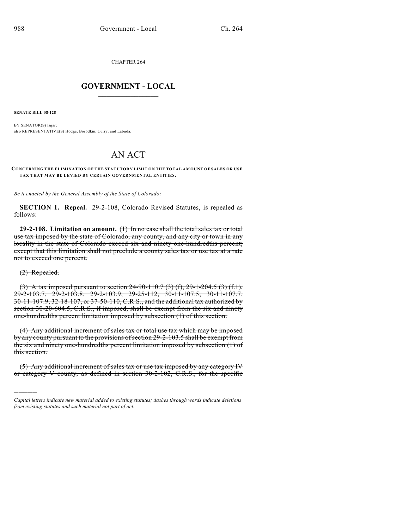CHAPTER 264

## $\mathcal{L}_\text{max}$  . The set of the set of the set of the set of the set of the set of the set of the set of the set of the set of the set of the set of the set of the set of the set of the set of the set of the set of the set **GOVERNMENT - LOCAL**  $\_$

**SENATE BILL 08-128**

BY SENATOR(S) Isgar; also REPRESENTATIVE(S) Hodge, Borodkin, Curry, and Labuda.

# AN ACT

#### **CONCERNING THE ELIMINATION OF THE STATUTORY LIMIT ON THE TOTAL AMOUNT OF SALES OR USE TAX THAT MAY BE LEVIED BY CERTAIN GOVERNMENTAL ENTITIES.**

*Be it enacted by the General Assembly of the State of Colorado:*

**SECTION 1. Repeal.** 29-2-108, Colorado Revised Statutes, is repealed as follows:

**29-2-108. Limitation on amount.** (1) In no case shall the total sales tax or total use tax imposed by the state of Colorado, any county, and any city or town in any locality in the state of Colorado exceed six and ninety one-hundredths percent; except that this limitation shall not preclude a county sales tax or use tax at a rate not to exceed one percent.

### (2) Repealed.

)))))

(3) A tax imposed pursuant to section 24-90-110.7 (3) (f), 29-1-204.5 (3) (f.1), 29-2-103.7, 29-2-103.8, 29-2-103.9, 29-25-112, 30-11-107.5, 30-11-107.7, 30-11-107.9, 32-18-107, or 37-50-110, C.R.S., and the additional tax authorized by section 30-20-604.5, C.R.S., if imposed, shall be exempt from the six and ninety one-hundredths percent limitation imposed by subsection (1) of this section.

(4) Any additional increment of sales tax or total use tax which may be imposed by any county pursuant to the provisions of section 29-2-103.5 shall be exempt from the six and ninety one-hundredths percent limitation imposed by subsection (1) of this section.

(5) Any additional increment of sales tax or use tax imposed by any category IV or category V county, as defined in section 30-2-102, C.R.S., for the specific

*Capital letters indicate new material added to existing statutes; dashes through words indicate deletions from existing statutes and such material not part of act.*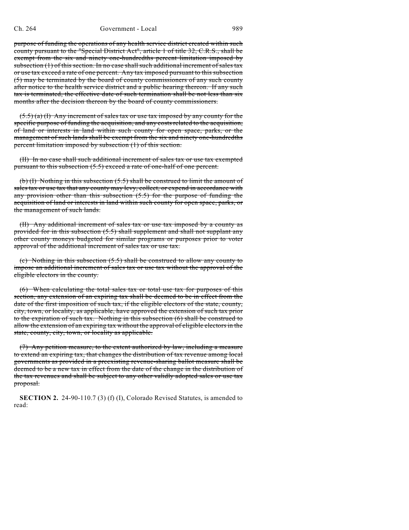purpose of funding the operations of any health service district created within such county pursuant to the "Special District Act", article 1 of title 32, C.R.S., shall be exempt from the six and ninety one-hundredths percent limitation imposed by subsection (1) of this section. In no case shall such additional increment of sales tax or use tax exceed a rate of one percent. Any tax imposed pursuant to this subsection (5) may be terminated by the board of county commissioners of any such county after notice to the health service district and a public hearing thereon. If any such tax is terminated, the effective date of such termination shall be not less than six months after the decision thereon by the board of county commissioners.

 $(5.5)$  (a) (I) Any increment of sales tax or use tax imposed by any county for the specific purpose of funding the acquisition, and any costs related to the acquisition, of land or interests in land within such county for open space, parks, or the management of such lands shall be exempt from the six and ninety one-hundredths percent limitation imposed by subsection (1) of this section.

(II) In no case shall such additional increment of sales tax or use tax exempted pursuant to this subsection (5.5) exceed a rate of one-half of one percent.

(b) (I) Nothing in this subsection  $(5.5)$  shall be construed to limit the amount of sales tax or use tax that any county may levy, collect, or expend in accordance with any provision other than this subsection  $(5.5)$  for the purpose of funding the acquisition of land or interests in land within such county for open space, parks, or the management of such lands.

(II) Any additional increment of sales tax or use tax imposed by a county as provided for in this subsection (5.5) shall supplement and shall not supplant any other county moneys budgeted for similar programs or purposes prior to voter approval of the additional increment of sales tax or use tax.

(c) Nothing in this subsection (5.5) shall be construed to allow any county to impose an additional increment of sales tax or use tax without the approval of the eligible electors in the county.

(6) When calculating the total sales tax or total use tax for purposes of this section, any extension of an expiring tax shall be deemed to be in effect from the date of the first imposition of such tax, if the eligible electors of the state, county, city, town, or locality, as applicable, have approved the extension of such tax prior to the expiration of such tax. Nothing in this subsection (6) shall be construed to allow the extension of an expiring tax without the approval of eligible electors in the state, county, city, town, or locality as applicable.

(7) Any petition measure, to the extent authorized by law, including a measure to extend an expiring tax, that changes the distribution of tax revenue among local governments as provided in a preexisting revenue-sharing ballot measure shall be deemed to be a new tax in effect from the date of the change in the distribution of the tax revenues and shall be subject to any other validly adopted sales or use tax proposal.

**SECTION 2.** 24-90-110.7 (3) (f) (I), Colorado Revised Statutes, is amended to read: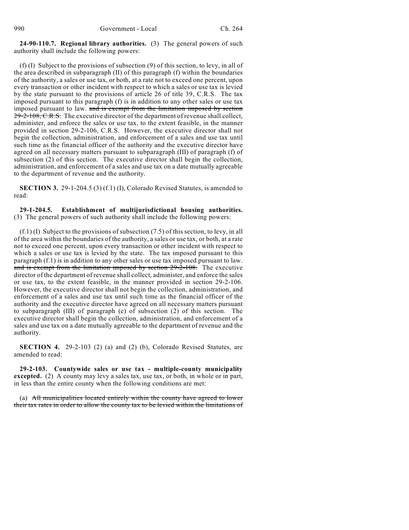**24-90-110.7. Regional library authorities.** (3) The general powers of such authority shall include the following powers:

(f) (I) Subject to the provisions of subsection (9) of this section, to levy, in all of the area described in subparagraph (II) of this paragraph (f) within the boundaries of the authority, a sales or use tax, or both, at a rate not to exceed one percent, upon every transaction or other incident with respect to which a sales or use tax is levied by the state pursuant to the provisions of article 26 of title 39, C.R.S. The tax imposed pursuant to this paragraph (f) is in addition to any other sales or use tax imposed pursuant to law. and is exempt from the limitation imposed by section  $29-2-108$ , C.R.S. The executive director of the department of revenue shall collect, administer, and enforce the sales or use tax, to the extent feasible, in the manner provided in section 29-2-106, C.R.S. However, the executive director shall not begin the collection, administration, and enforcement of a sales and use tax until such time as the financial officer of the authority and the executive director have agreed on all necessary matters pursuant to subparagraph (III) of paragraph (f) of subsection (2) of this section. The executive director shall begin the collection, administration, and enforcement of a sales and use tax on a date mutually agreeable to the department of revenue and the authority.

**SECTION 3.** 29-1-204.5 (3) (f.1) (I), Colorado Revised Statutes, is amended to read:

#### **29-1-204.5. Establishment of multijurisdictional housing authorities.** (3) The general powers of such authority shall include the following powers:

(f.1) (I) Subject to the provisions of subsection (7.5) of this section, to levy, in all of the area within the boundaries of the authority, a sales or use tax, or both, at a rate not to exceed one percent, upon every transaction or other incident with respect to which a sales or use tax is levied by the state. The tax imposed pursuant to this paragraph (f.1) is in addition to any other sales or use tax imposed pursuant to law. and is exempt from the limitation imposed by section 29-2-108. The executive director of the department of revenue shall collect, administer, and enforce the sales or use tax, to the extent feasible, in the manner provided in section 29-2-106. However, the executive director shall not begin the collection, administration, and enforcement of a sales and use tax until such time as the financial officer of the authority and the executive director have agreed on all necessary matters pursuant to subparagraph (III) of paragraph (e) of subsection (2) of this section. The executive director shall begin the collection, administration, and enforcement of a sales and use tax on a date mutually agreeable to the department of revenue and the authority.

**SECTION 4.** 29-2-103 (2) (a) and (2) (b), Colorado Revised Statutes, are amended to read:

**29-2-103. Countywide sales or use tax - multiple-county municipality excepted.** (2) A county may levy a sales tax, use tax, or both, in whole or in part, in less than the entire county when the following conditions are met:

(a) All municipalities located entirely within the county have agreed to lower their tax rates in order to allow the county tax to be levied within the limitations of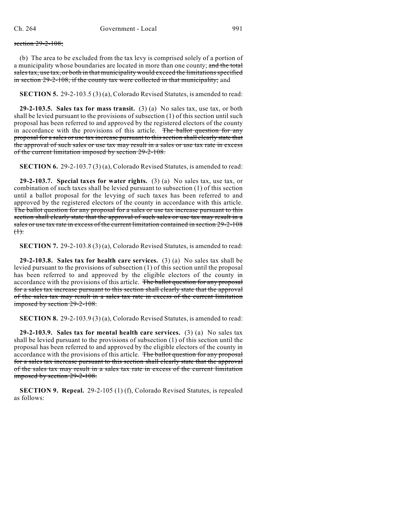#### section 29-2-108;

(b) The area to be excluded from the tax levy is comprised solely of a portion of a municipality whose boundaries are located in more than one county; and the total salestax, use tax, or both in that municipality would exceed the limitations specified in section 29-2-108, if the county tax were collected in that municipality; and

**SECTION 5.** 29-2-103.5 (3) (a), Colorado Revised Statutes, is amended to read:

**29-2-103.5. Sales tax for mass transit.** (3) (a) No sales tax, use tax, or both shall be levied pursuant to the provisions of subsection (1) of this section until such proposal has been referred to and approved by the registered electors of the county in accordance with the provisions of this article. The ballot question for any proposal for a sales or use tax increase pursuant to this section shall clearly state that the approval of such sales or use tax may result in a sales or use tax rate in excess of the current limitation imposed by section 29-2-108.

**SECTION 6.** 29-2-103.7 (3) (a), Colorado Revised Statutes, is amended to read:

**29-2-103.7. Special taxes for water rights.** (3) (a) No sales tax, use tax, or combination of such taxes shall be levied pursuant to subsection (1) of this section until a ballot proposal for the levying of such taxes has been referred to and approved by the registered electors of the county in accordance with this article. The ballot question for any proposal for a sales or use tax increase pursuant to this section shall clearly state that the approval of such sales or use tax may result in a sales or use tax rate in excess of the current limitation contained in section 29-2-108  $(1)$ .

**SECTION 7.** 29-2-103.8 (3) (a), Colorado Revised Statutes, is amended to read:

**29-2-103.8. Sales tax for health care services.** (3) (a) No sales tax shall be levied pursuant to the provisions of subsection (1) of this section until the proposal has been referred to and approved by the eligible electors of the county in accordance with the provisions of this article. The ballot question for any proposal for a sales tax increase pursuant to this section shall clearly state that the approval of the sales tax may result in a sales tax rate in excess of the current limitation imposed by section 29-2-108.

**SECTION 8.** 29-2-103.9 (3) (a), Colorado Revised Statutes, is amended to read:

**29-2-103.9. Sales tax for mental health care services.** (3) (a) No sales tax shall be levied pursuant to the provisions of subsection (1) of this section until the proposal has been referred to and approved by the eligible electors of the county in accordance with the provisions of this article. The ballot question for any proposal for a sales tax increase pursuant to this section shall clearly state that the approval of the sales tax may result in a sales tax rate in excess of the current limitation imposed by section 29-2-108.

**SECTION 9. Repeal.** 29-2-105 (1) (f), Colorado Revised Statutes, is repealed as follows: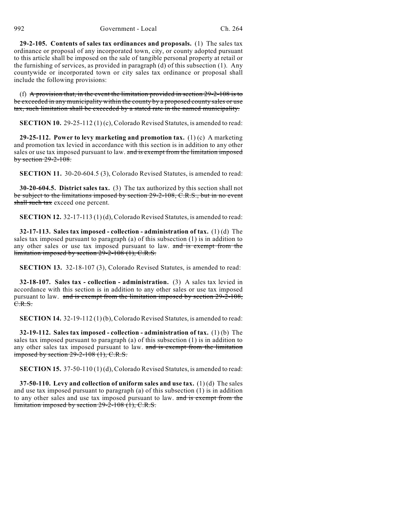**29-2-105. Contents of sales tax ordinances and proposals.** (1) The sales tax ordinance or proposal of any incorporated town, city, or county adopted pursuant to this article shall be imposed on the sale of tangible personal property at retail or the furnishing of services, as provided in paragraph (d) of this subsection (1). Any countywide or incorporated town or city sales tax ordinance or proposal shall include the following provisions:

(f) A provision that, in the event the limitation provided in section  $29-2-108$  is to be exceeded in any municipality within the county by a proposed county sales or use tax, such limitation shall be exceeded by a stated rate in the named municipality.

**SECTION 10.** 29-25-112 (1) (c), Colorado Revised Statutes, is amended to read:

**29-25-112. Power to levy marketing and promotion tax.** (1) (c) A marketing and promotion tax levied in accordance with this section is in addition to any other sales or use tax imposed pursuant to law. and is exempt from the limitation imposed by section 29-2-108.

**SECTION 11.** 30-20-604.5 (3), Colorado Revised Statutes, is amended to read:

**30-20-604.5. District sales tax.** (3) The tax authorized by this section shall not be subject to the limitations imposed by section 29-2-108, C.R.S., but in no event shall such tax exceed one percent.

**SECTION 12.** 32-17-113 (1) (d), Colorado Revised Statutes, is amended to read:

**32-17-113. Sales tax imposed - collection - administration of tax.** (1) (d) The sales tax imposed pursuant to paragraph (a) of this subsection (1) is in addition to any other sales or use tax imposed pursuant to law. and is exempt from the limitation imposed by section 29-2-108 (1), C.R.S.

**SECTION 13.** 32-18-107 (3), Colorado Revised Statutes, is amended to read:

**32-18-107. Sales tax - collection - administration.** (3) A sales tax levied in accordance with this section is in addition to any other sales or use tax imposed pursuant to law. and is exempt from the limitation imposed by section 29-2-108, C.R.S.

**SECTION 14.** 32-19-112 (1) (b), Colorado Revised Statutes, is amended to read:

**32-19-112. Sales tax imposed - collection - administration of tax.** (1) (b) The sales tax imposed pursuant to paragraph (a) of this subsection (1) is in addition to any other sales tax imposed pursuant to law. and is exempt from the limitation imposed by section  $29-2-108$  (1), C.R.S.

**SECTION 15.** 37-50-110 (1) (d), Colorado Revised Statutes, is amended to read:

**37-50-110. Levy and collection of uniform sales and use tax.** (1) (d) The sales and use tax imposed pursuant to paragraph (a) of this subsection (1) is in addition to any other sales and use tax imposed pursuant to law. and is exempt from the limitation imposed by section 29-2-108 (1), C.R.S.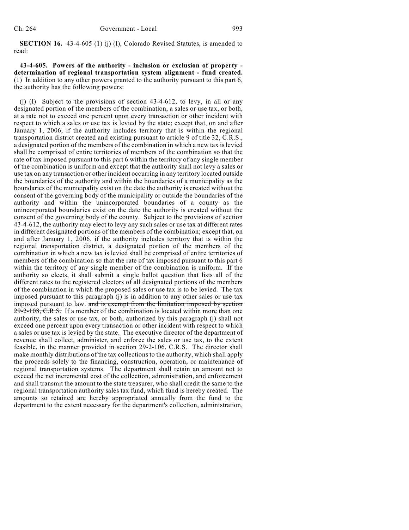**SECTION 16.** 43-4-605 (1) (j) (I), Colorado Revised Statutes, is amended to read:

**43-4-605. Powers of the authority - inclusion or exclusion of property determination of regional transportation system alignment - fund created.** (1) In addition to any other powers granted to the authority pursuant to this part 6, the authority has the following powers:

(j) (I) Subject to the provisions of section 43-4-612, to levy, in all or any designated portion of the members of the combination, a sales or use tax, or both, at a rate not to exceed one percent upon every transaction or other incident with respect to which a sales or use tax is levied by the state; except that, on and after January 1, 2006, if the authority includes territory that is within the regional transportation district created and existing pursuant to article 9 of title 32, C.R.S., a designated portion of the members of the combination in which a new tax is levied shall be comprised of entire territories of members of the combination so that the rate of tax imposed pursuant to this part 6 within the territory of any single member of the combination is uniform and except that the authority shall not levy a sales or use tax on any transaction or other incident occurring in any territory located outside the boundaries of the authority and within the boundaries of a municipality as the boundaries of the municipality exist on the date the authority is created without the consent of the governing body of the municipality or outside the boundaries of the authority and within the unincorporated boundaries of a county as the unincorporated boundaries exist on the date the authority is created without the consent of the governing body of the county. Subject to the provisions of section 43-4-612, the authority may elect to levy any such sales or use tax at different rates in different designated portions of the members of the combination; except that, on and after January 1, 2006, if the authority includes territory that is within the regional transportation district, a designated portion of the members of the combination in which a new tax is levied shall be comprised of entire territories of members of the combination so that the rate of tax imposed pursuant to this part 6 within the territory of any single member of the combination is uniform. If the authority so elects, it shall submit a single ballot question that lists all of the different rates to the registered electors of all designated portions of the members of the combination in which the proposed sales or use tax is to be levied. The tax imposed pursuant to this paragraph (j) is in addition to any other sales or use tax imposed pursuant to law. and is exempt from the limitation imposed by section 29-2-108, C.R.S. If a member of the combination is located within more than one authority, the sales or use tax, or both, authorized by this paragraph (j) shall not exceed one percent upon every transaction or other incident with respect to which a sales or use tax is levied by the state. The executive director of the department of revenue shall collect, administer, and enforce the sales or use tax, to the extent feasible, in the manner provided in section 29-2-106, C.R.S. The director shall make monthly distributions of the tax collections to the authority, which shall apply the proceeds solely to the financing, construction, operation, or maintenance of regional transportation systems. The department shall retain an amount not to exceed the net incremental cost of the collection, administration, and enforcement and shall transmit the amount to the state treasurer, who shall credit the same to the regional transportation authority sales tax fund, which fund is hereby created. The amounts so retained are hereby appropriated annually from the fund to the department to the extent necessary for the department's collection, administration,